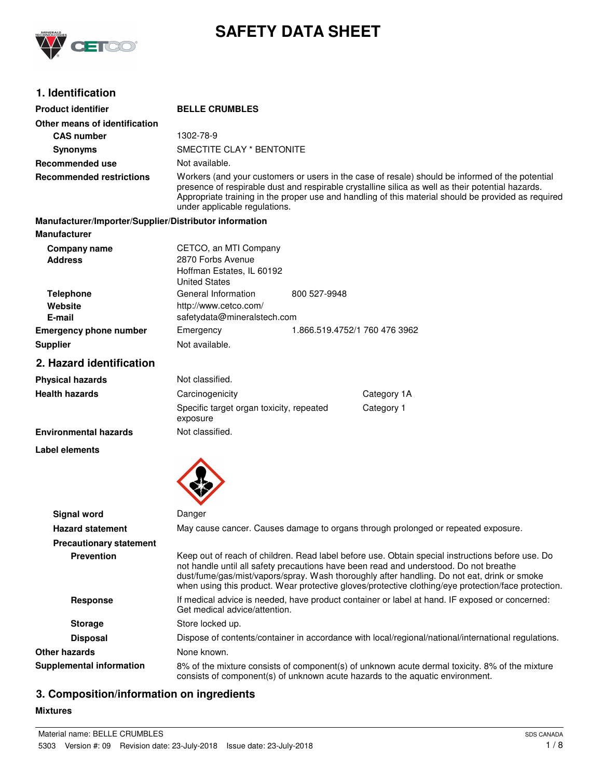

# **SAFETY DATA SHEET**

## **1. Identification**

| <b>Product identifier</b>                              | <b>BELLE CRUMBLES</b>                                                                                                                                                                                                                                                                                                                                                                           |  |  |
|--------------------------------------------------------|-------------------------------------------------------------------------------------------------------------------------------------------------------------------------------------------------------------------------------------------------------------------------------------------------------------------------------------------------------------------------------------------------|--|--|
| Other means of identification                          |                                                                                                                                                                                                                                                                                                                                                                                                 |  |  |
| <b>CAS number</b>                                      | 1302-78-9                                                                                                                                                                                                                                                                                                                                                                                       |  |  |
| <b>Synonyms</b>                                        | SMECTITE CLAY * BENTONITE                                                                                                                                                                                                                                                                                                                                                                       |  |  |
| <b>Recommended use</b>                                 | Not available.                                                                                                                                                                                                                                                                                                                                                                                  |  |  |
| <b>Recommended restrictions</b>                        | Workers (and your customers or users in the case of resale) should be informed of the potential<br>presence of respirable dust and respirable crystalline silica as well as their potential hazards.<br>Appropriate training in the proper use and handling of this material should be provided as required<br>under applicable regulations.                                                    |  |  |
| Manufacturer/Importer/Supplier/Distributor information |                                                                                                                                                                                                                                                                                                                                                                                                 |  |  |
| <b>Manufacturer</b>                                    |                                                                                                                                                                                                                                                                                                                                                                                                 |  |  |
| Company name<br><b>Address</b>                         | CETCO, an MTI Company<br>2870 Forbs Avenue<br>Hoffman Estates, IL 60192<br><b>United States</b>                                                                                                                                                                                                                                                                                                 |  |  |
| <b>Telephone</b><br>Website<br>E-mail                  | General Information<br>800 527-9948<br>http://www.cetco.com/<br>safetydata@mineralstech.com                                                                                                                                                                                                                                                                                                     |  |  |
| <b>Emergency phone number</b>                          | Emergency<br>1.866.519.4752/1 760 476 3962                                                                                                                                                                                                                                                                                                                                                      |  |  |
| <b>Supplier</b>                                        | Not available.                                                                                                                                                                                                                                                                                                                                                                                  |  |  |
| 2. Hazard identification                               |                                                                                                                                                                                                                                                                                                                                                                                                 |  |  |
| <b>Physical hazards</b>                                | Not classified.                                                                                                                                                                                                                                                                                                                                                                                 |  |  |
| <b>Health hazards</b>                                  | Carcinogenicity<br>Category 1A                                                                                                                                                                                                                                                                                                                                                                  |  |  |
|                                                        | Category 1<br>Specific target organ toxicity, repeated<br>exposure                                                                                                                                                                                                                                                                                                                              |  |  |
| <b>Environmental hazards</b>                           | Not classified.                                                                                                                                                                                                                                                                                                                                                                                 |  |  |
| Label elements                                         |                                                                                                                                                                                                                                                                                                                                                                                                 |  |  |
| Signal word                                            | Danger                                                                                                                                                                                                                                                                                                                                                                                          |  |  |
| <b>Hazard statement</b>                                | May cause cancer. Causes damage to organs through prolonged or repeated exposure.                                                                                                                                                                                                                                                                                                               |  |  |
| <b>Precautionary statement</b>                         |                                                                                                                                                                                                                                                                                                                                                                                                 |  |  |
| <b>Prevention</b>                                      | Keep out of reach of children. Read label before use. Obtain special instructions before use. Do<br>not handle until all safety precautions have been read and understood. Do not breathe<br>dust/fume/gas/mist/vapors/spray. Wash thoroughly after handling. Do not eat, drink or smoke<br>when using this product. Wear protective gloves/protective clothing/eye protection/face protection. |  |  |
| <b>Response</b>                                        | If medical advice is needed, have product container or label at hand. IF exposed or concerned:<br>Get medical advice/attention.                                                                                                                                                                                                                                                                 |  |  |
| <b>Storage</b>                                         | Store locked up.                                                                                                                                                                                                                                                                                                                                                                                |  |  |
| <b>Disposal</b>                                        | Dispose of contents/container in accordance with local/regional/national/international regulations.                                                                                                                                                                                                                                                                                             |  |  |
| <b>Other hazards</b>                                   | None known.                                                                                                                                                                                                                                                                                                                                                                                     |  |  |
| <b>Supplemental information</b>                        | 8% of the mixture consists of component(s) of unknown acute dermal toxicity. 8% of the mixture<br>consists of component(s) of unknown acute hazards to the aquatic environment.                                                                                                                                                                                                                 |  |  |

# **3. Composition/information on ingredients**

#### **Mixtures**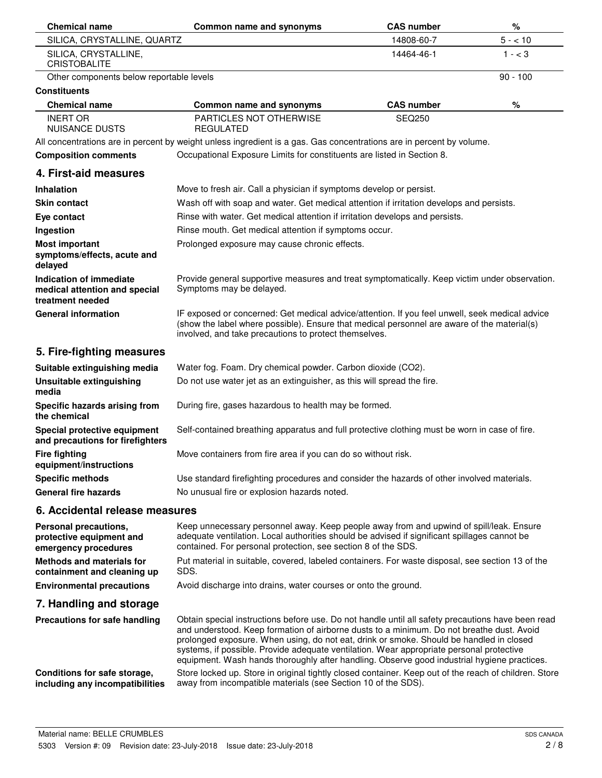| <b>Chemical name</b>                                                         | Common name and synonyms                                                                                                                                                                                                                                                                                                                                                                                                                                                             | <b>CAS number</b> | %          |
|------------------------------------------------------------------------------|--------------------------------------------------------------------------------------------------------------------------------------------------------------------------------------------------------------------------------------------------------------------------------------------------------------------------------------------------------------------------------------------------------------------------------------------------------------------------------------|-------------------|------------|
| SILICA, CRYSTALLINE, QUARTZ                                                  |                                                                                                                                                                                                                                                                                                                                                                                                                                                                                      | 14808-60-7        | $5 - 10$   |
| SILICA, CRYSTALLINE,<br><b>CRISTOBALITE</b>                                  |                                                                                                                                                                                                                                                                                                                                                                                                                                                                                      | 14464-46-1        | $1 - < 3$  |
| Other components below reportable levels                                     |                                                                                                                                                                                                                                                                                                                                                                                                                                                                                      |                   | $90 - 100$ |
| <b>Constituents</b>                                                          |                                                                                                                                                                                                                                                                                                                                                                                                                                                                                      |                   |            |
| <b>Chemical name</b>                                                         | Common name and synonyms                                                                                                                                                                                                                                                                                                                                                                                                                                                             | <b>CAS number</b> | %          |
| <b>INERT OR</b><br><b>NUISANCE DUSTS</b>                                     | <b>PARTICLES NOT OTHERWISE</b><br><b>REGULATED</b>                                                                                                                                                                                                                                                                                                                                                                                                                                   | <b>SEQ250</b>     |            |
|                                                                              | All concentrations are in percent by weight unless ingredient is a gas. Gas concentrations are in percent by volume.                                                                                                                                                                                                                                                                                                                                                                 |                   |            |
| <b>Composition comments</b>                                                  | Occupational Exposure Limits for constituents are listed in Section 8.                                                                                                                                                                                                                                                                                                                                                                                                               |                   |            |
| 4. First-aid measures                                                        |                                                                                                                                                                                                                                                                                                                                                                                                                                                                                      |                   |            |
| Inhalation                                                                   | Move to fresh air. Call a physician if symptoms develop or persist.                                                                                                                                                                                                                                                                                                                                                                                                                  |                   |            |
| <b>Skin contact</b>                                                          | Wash off with soap and water. Get medical attention if irritation develops and persists.                                                                                                                                                                                                                                                                                                                                                                                             |                   |            |
| Eye contact                                                                  | Rinse with water. Get medical attention if irritation develops and persists.                                                                                                                                                                                                                                                                                                                                                                                                         |                   |            |
| Ingestion                                                                    | Rinse mouth. Get medical attention if symptoms occur.                                                                                                                                                                                                                                                                                                                                                                                                                                |                   |            |
| <b>Most important</b><br>symptoms/effects, acute and<br>delayed              | Prolonged exposure may cause chronic effects.                                                                                                                                                                                                                                                                                                                                                                                                                                        |                   |            |
| Indication of immediate<br>medical attention and special<br>treatment needed | Provide general supportive measures and treat symptomatically. Keep victim under observation.<br>Symptoms may be delayed.                                                                                                                                                                                                                                                                                                                                                            |                   |            |
| <b>General information</b>                                                   | IF exposed or concerned: Get medical advice/attention. If you feel unwell, seek medical advice<br>(show the label where possible). Ensure that medical personnel are aware of the material(s)<br>involved, and take precautions to protect themselves.                                                                                                                                                                                                                               |                   |            |
| 5. Fire-fighting measures                                                    |                                                                                                                                                                                                                                                                                                                                                                                                                                                                                      |                   |            |
| Suitable extinguishing media                                                 | Water fog. Foam. Dry chemical powder. Carbon dioxide (CO2).                                                                                                                                                                                                                                                                                                                                                                                                                          |                   |            |
| <b>Unsuitable extinguishing</b><br>media                                     | Do not use water jet as an extinguisher, as this will spread the fire.                                                                                                                                                                                                                                                                                                                                                                                                               |                   |            |
| Specific hazards arising from<br>the chemical                                | During fire, gases hazardous to health may be formed.                                                                                                                                                                                                                                                                                                                                                                                                                                |                   |            |
| Special protective equipment<br>and precautions for firefighters             | Self-contained breathing apparatus and full protective clothing must be worn in case of fire.                                                                                                                                                                                                                                                                                                                                                                                        |                   |            |
| <b>Fire fighting</b><br>equipment/instructions                               | Move containers from fire area if you can do so without risk.                                                                                                                                                                                                                                                                                                                                                                                                                        |                   |            |
| <b>Specific methods</b>                                                      | Use standard firefighting procedures and consider the hazards of other involved materials.                                                                                                                                                                                                                                                                                                                                                                                           |                   |            |
| <b>General fire hazards</b>                                                  | No unusual fire or explosion hazards noted.                                                                                                                                                                                                                                                                                                                                                                                                                                          |                   |            |
| 6. Accidental release measures                                               |                                                                                                                                                                                                                                                                                                                                                                                                                                                                                      |                   |            |
| Personal precautions,<br>protective equipment and<br>emergency procedures    | Keep unnecessary personnel away. Keep people away from and upwind of spill/leak. Ensure<br>adequate ventilation. Local authorities should be advised if significant spillages cannot be<br>contained. For personal protection, see section 8 of the SDS.                                                                                                                                                                                                                             |                   |            |
| <b>Methods and materials for</b><br>containment and cleaning up              | Put material in suitable, covered, labeled containers. For waste disposal, see section 13 of the<br>SDS.                                                                                                                                                                                                                                                                                                                                                                             |                   |            |
| <b>Environmental precautions</b>                                             | Avoid discharge into drains, water courses or onto the ground.                                                                                                                                                                                                                                                                                                                                                                                                                       |                   |            |
| 7. Handling and storage                                                      |                                                                                                                                                                                                                                                                                                                                                                                                                                                                                      |                   |            |
| Precautions for safe handling                                                | Obtain special instructions before use. Do not handle until all safety precautions have been read<br>and understood. Keep formation of airborne dusts to a minimum. Do not breathe dust. Avoid<br>prolonged exposure. When using, do not eat, drink or smoke. Should be handled in closed<br>systems, if possible. Provide adequate ventilation. Wear appropriate personal protective<br>equipment. Wash hands thoroughly after handling. Observe good industrial hygiene practices. |                   |            |
| Conditions for safe storage,<br>including any incompatibilities              | Store locked up. Store in original tightly closed container. Keep out of the reach of children. Store<br>away from incompatible materials (see Section 10 of the SDS).                                                                                                                                                                                                                                                                                                               |                   |            |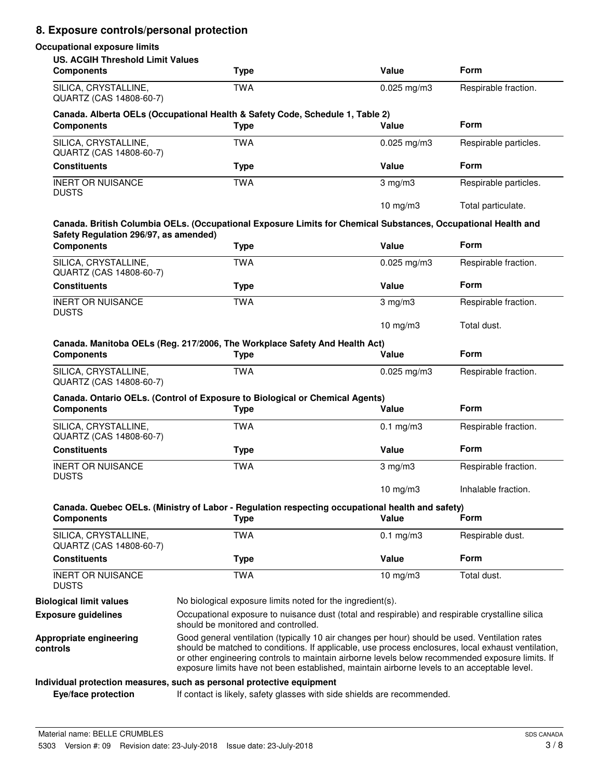# **8. Exposure controls/personal protection**

#### **Occupational exposure limits**

| <b>US. ACGIH Threshold Limit Values</b><br><b>Components</b> | <b>Type</b>                                                                                                                                                                                                                                                                                                                                                                                            | Value                | <b>Form</b>           |
|--------------------------------------------------------------|--------------------------------------------------------------------------------------------------------------------------------------------------------------------------------------------------------------------------------------------------------------------------------------------------------------------------------------------------------------------------------------------------------|----------------------|-----------------------|
| SILICA, CRYSTALLINE,<br>QUARTZ (CAS 14808-60-7)              | <b>TWA</b>                                                                                                                                                                                                                                                                                                                                                                                             | $0.025$ mg/m3        | Respirable fraction.  |
| <b>Components</b>                                            | Canada. Alberta OELs (Occupational Health & Safety Code, Schedule 1, Table 2)<br><b>Type</b>                                                                                                                                                                                                                                                                                                           | Value                | <b>Form</b>           |
| SILICA, CRYSTALLINE,<br>QUARTZ (CAS 14808-60-7)              | <b>TWA</b>                                                                                                                                                                                                                                                                                                                                                                                             | $0.025$ mg/m3        | Respirable particles. |
| <b>Constituents</b>                                          | <b>Type</b>                                                                                                                                                                                                                                                                                                                                                                                            | <b>Value</b>         | <b>Form</b>           |
| <b>INERT OR NUISANCE</b><br><b>DUSTS</b>                     | <b>TWA</b>                                                                                                                                                                                                                                                                                                                                                                                             | $3$ mg/m $3$         | Respirable particles. |
|                                                              | Canada. British Columbia OELs. (Occupational Exposure Limits for Chemical Substances, Occupational Health and                                                                                                                                                                                                                                                                                          | $10$ mg/m $3$        | Total particulate.    |
| Safety Regulation 296/97, as amended)<br><b>Components</b>   | <b>Type</b>                                                                                                                                                                                                                                                                                                                                                                                            | Value                | <b>Form</b>           |
| SILICA, CRYSTALLINE,<br>QUARTZ (CAS 14808-60-7)              | <b>TWA</b>                                                                                                                                                                                                                                                                                                                                                                                             | $0.025$ mg/m3        | Respirable fraction.  |
| <b>Constituents</b>                                          | <b>Type</b>                                                                                                                                                                                                                                                                                                                                                                                            | Value                | Form                  |
| <b>INERT OR NUISANCE</b><br><b>DUSTS</b>                     | <b>TWA</b>                                                                                                                                                                                                                                                                                                                                                                                             | $3 \text{ mg/m}$     | Respirable fraction.  |
|                                                              |                                                                                                                                                                                                                                                                                                                                                                                                        | 10 mg/m $3$          | Total dust.           |
| <b>Components</b>                                            | Canada. Manitoba OELs (Reg. 217/2006, The Workplace Safety And Health Act)<br><b>Type</b>                                                                                                                                                                                                                                                                                                              | Value                | <b>Form</b>           |
| SILICA, CRYSTALLINE,<br>QUARTZ (CAS 14808-60-7)              | <b>TWA</b>                                                                                                                                                                                                                                                                                                                                                                                             | $0.025$ mg/m3        | Respirable fraction.  |
|                                                              | Canada. Ontario OELs. (Control of Exposure to Biological or Chemical Agents)                                                                                                                                                                                                                                                                                                                           |                      |                       |
| <b>Components</b>                                            | <b>Type</b>                                                                                                                                                                                                                                                                                                                                                                                            | Value                | <b>Form</b>           |
| SILICA, CRYSTALLINE,<br>QUARTZ (CAS 14808-60-7)              | <b>TWA</b>                                                                                                                                                                                                                                                                                                                                                                                             | $0.1 \text{ mg/m}$ 3 | Respirable fraction.  |
| <b>Constituents</b>                                          | <b>Type</b>                                                                                                                                                                                                                                                                                                                                                                                            | Value                | <b>Form</b>           |
| <b>INERT OR NUISANCE</b><br><b>DUSTS</b>                     | <b>TWA</b>                                                                                                                                                                                                                                                                                                                                                                                             | $3$ mg/m $3$         | Respirable fraction.  |
|                                                              |                                                                                                                                                                                                                                                                                                                                                                                                        | 10 $mg/m3$           | Inhalable fraction.   |
| <b>Components</b>                                            | Canada. Quebec OELs. (Ministry of Labor - Regulation respecting occupational health and safety)<br><b>Type</b>                                                                                                                                                                                                                                                                                         | Value                | Form                  |
| SILICA, CRYSTALLINE,<br>QUARTZ (CAS 14808-60-7)              | <b>TWA</b>                                                                                                                                                                                                                                                                                                                                                                                             | $0.1$ mg/m3          | Respirable dust.      |
| <b>Constituents</b>                                          | <b>Type</b>                                                                                                                                                                                                                                                                                                                                                                                            | Value                | Form                  |
| <b>INERT OR NUISANCE</b><br><b>DUSTS</b>                     | <b>TWA</b>                                                                                                                                                                                                                                                                                                                                                                                             | 10 mg/m3             | Total dust.           |
| <b>Biological limit values</b>                               | No biological exposure limits noted for the ingredient(s).                                                                                                                                                                                                                                                                                                                                             |                      |                       |
| <b>Exposure guidelines</b>                                   | Occupational exposure to nuisance dust (total and respirable) and respirable crystalline silica<br>should be monitored and controlled.                                                                                                                                                                                                                                                                 |                      |                       |
| Appropriate engineering<br>controls                          | Good general ventilation (typically 10 air changes per hour) should be used. Ventilation rates<br>should be matched to conditions. If applicable, use process enclosures, local exhaust ventilation,<br>or other engineering controls to maintain airborne levels below recommended exposure limits. If<br>exposure limits have not been established, maintain airborne levels to an acceptable level. |                      |                       |
|                                                              | Individual protection measures, such as personal protective equipment                                                                                                                                                                                                                                                                                                                                  |                      |                       |
| Eye/face protection                                          | If contact is likely, safety glasses with side shields are recommended.                                                                                                                                                                                                                                                                                                                                |                      |                       |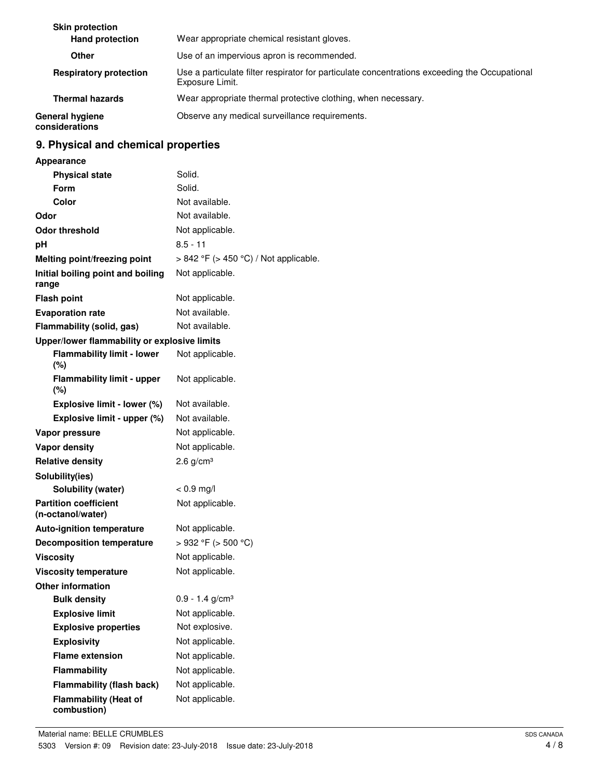| <b>Skin protection</b>            |                                                                                                                  |
|-----------------------------------|------------------------------------------------------------------------------------------------------------------|
| <b>Hand protection</b>            | Wear appropriate chemical resistant gloves.                                                                      |
| Other                             | Use of an impervious apron is recommended.                                                                       |
| <b>Respiratory protection</b>     | Use a particulate filter respirator for particulate concentrations exceeding the Occupational<br>Exposure Limit. |
| <b>Thermal hazards</b>            | Wear appropriate thermal protective clothing, when necessary.                                                    |
| General hygiene<br>considerations | Observe any medical surveillance requirements.                                                                   |

# **9. Physical and chemical properties**

| <b>Appearance</b>                                 |                                       |
|---------------------------------------------------|---------------------------------------|
| <b>Physical state</b>                             | Solid.                                |
| Form                                              | Solid.                                |
| Color                                             | Not available.                        |
| Odor                                              | Not available.                        |
| <b>Odor threshold</b>                             | Not applicable.                       |
| рH                                                | $8.5 - 11$                            |
| Melting point/freezing point                      | > 842 °F (> 450 °C) / Not applicable. |
| Initial boiling point and boiling<br>range        | Not applicable.                       |
| <b>Flash point</b>                                | Not applicable.                       |
| <b>Evaporation rate</b>                           | Not available.                        |
| Flammability (solid, gas)                         | Not available.                        |
| Upper/lower flammability or explosive limits      |                                       |
| <b>Flammability limit - lower</b>                 | Not applicable.                       |
| $(\%)$                                            |                                       |
| <b>Flammability limit - upper</b>                 | Not applicable.                       |
| $(\%)$                                            |                                       |
| Explosive limit - lower (%)                       | Not available.                        |
| Explosive limit - upper (%)                       | Not available.                        |
| Vapor pressure                                    | Not applicable.                       |
| <b>Vapor density</b>                              | Not applicable.                       |
| <b>Relative density</b>                           | $2.6$ g/cm <sup>3</sup>               |
| Solubility(ies)                                   |                                       |
| Solubility (water)                                | $< 0.9$ mg/l                          |
| <b>Partition coefficient</b><br>(n-octanol/water) | Not applicable.                       |
| <b>Auto-ignition temperature</b>                  | Not applicable.                       |
| <b>Decomposition temperature</b>                  | $>932$ °F ( $>500$ °C)                |
| <b>Viscosity</b>                                  | Not applicable.                       |
| <b>Viscosity temperature</b>                      | Not applicable.                       |
| <b>Other information</b>                          |                                       |
| <b>Bulk density</b>                               | $0.9 - 1.4$ g/cm <sup>3</sup>         |
| <b>Explosive limit</b>                            | Not applicable.                       |
| <b>Explosive properties</b>                       | Not explosive.                        |
| <b>Explosivity</b>                                | Not applicable.                       |
| <b>Flame extension</b>                            | Not applicable.                       |
| Flammability                                      | Not applicable.                       |
| <b>Flammability (flash back)</b>                  | Not applicable.                       |
| <b>Flammability (Heat of</b>                      | Not applicable.                       |
| combustion)                                       |                                       |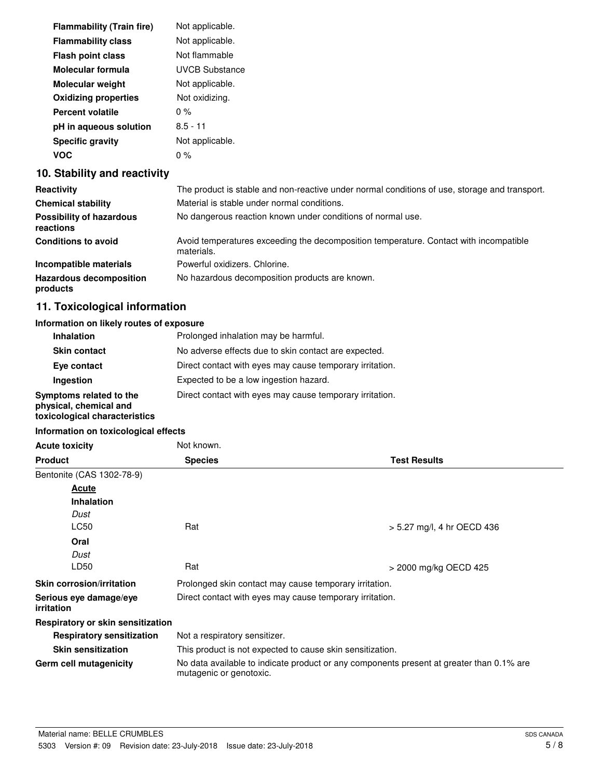| <b>Flammability (Train fire)</b> | Not applicable.       |
|----------------------------------|-----------------------|
| <b>Flammability class</b>        | Not applicable.       |
| <b>Flash point class</b>         | Not flammable         |
| Molecular formula                | <b>UVCB Substance</b> |
| <b>Molecular weight</b>          | Not applicable.       |
| <b>Oxidizing properties</b>      | Not oxidizing.        |
| <b>Percent volatile</b>          | $0\%$                 |
| pH in aqueous solution           | $8.5 - 11$            |
| <b>Specific gravity</b>          | Not applicable.       |
| voc                              | 0 %                   |

#### **10. Stability and reactivity**

| Reactivity                                   | The product is stable and non-reactive under normal conditions of use, storage and transport.       |
|----------------------------------------------|-----------------------------------------------------------------------------------------------------|
| <b>Chemical stability</b>                    | Material is stable under normal conditions.                                                         |
| <b>Possibility of hazardous</b><br>reactions | No dangerous reaction known under conditions of normal use.                                         |
| <b>Conditions to avoid</b>                   | Avoid temperatures exceeding the decomposition temperature. Contact with incompatible<br>materials. |
| Incompatible materials                       | Powerful oxidizers, Chlorine.                                                                       |
| <b>Hazardous decomposition</b><br>products   | No hazardous decomposition products are known.                                                      |

## **11. Toxicological information**

#### **Information on likely routes of exposure**

| <b>Inhalation</b>                                                                  | Prolonged inhalation may be harmful.                     |
|------------------------------------------------------------------------------------|----------------------------------------------------------|
| <b>Skin contact</b>                                                                | No adverse effects due to skin contact are expected.     |
| Eye contact                                                                        | Direct contact with eyes may cause temporary irritation. |
| Ingestion                                                                          | Expected to be a low ingestion hazard.                   |
| Symptoms related to the<br>physical, chemical and<br>toxicological characteristics | Direct contact with eyes may cause temporary irritation. |

#### **Information on toxicological effects**

| <b>Acute toxicity</b>                    | Not known.                                                                                                          |                            |
|------------------------------------------|---------------------------------------------------------------------------------------------------------------------|----------------------------|
| <b>Product</b>                           | <b>Species</b>                                                                                                      | <b>Test Results</b>        |
| Bentonite (CAS 1302-78-9)                |                                                                                                                     |                            |
| Acute                                    |                                                                                                                     |                            |
| <b>Inhalation</b>                        |                                                                                                                     |                            |
| Dust                                     |                                                                                                                     |                            |
| LC50                                     | Rat                                                                                                                 | > 5.27 mg/l, 4 hr OECD 436 |
| Oral                                     |                                                                                                                     |                            |
| Dust                                     |                                                                                                                     |                            |
| LD50                                     | Rat                                                                                                                 | > 2000 mg/kg OECD 425      |
| <b>Skin corrosion/irritation</b>         | Prolonged skin contact may cause temporary irritation.                                                              |                            |
| Serious eye damage/eye<br>irritation     | Direct contact with eyes may cause temporary irritation.                                                            |                            |
| <b>Respiratory or skin sensitization</b> |                                                                                                                     |                            |
| <b>Respiratory sensitization</b>         | Not a respiratory sensitizer.                                                                                       |                            |
| <b>Skin sensitization</b>                | This product is not expected to cause skin sensitization.                                                           |                            |
| Germ cell mutagenicity                   | No data available to indicate product or any components present at greater than 0.1% are<br>mutagenic or genotoxic. |                            |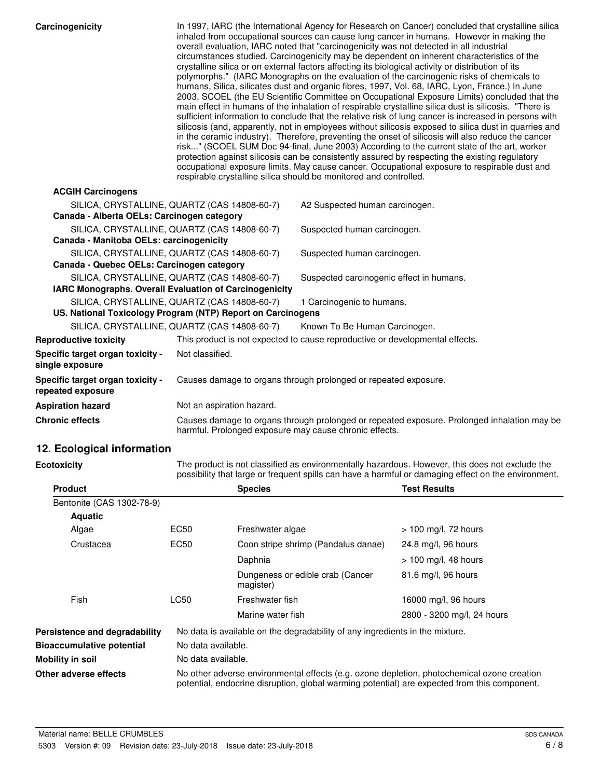| Carcinogenicity                                                                                             |                           |                  | respirable crystalline silica should be monitored and controlled.            | In 1997, IARC (the International Agency for Research on Cancer) concluded that crystalline silica<br>inhaled from occupational sources can cause lung cancer in humans. However in making the<br>overall evaluation, IARC noted that "carcinogenicity was not detected in all industrial<br>circumstances studied. Carcinogenicity may be dependent on inherent characteristics of the<br>crystalline silica or on external factors affecting its biological activity or distribution of its<br>polymorphs." (IARC Monographs on the evaluation of the carcinogenic risks of chemicals to<br>humans, Silica, silicates dust and organic fibres, 1997, Vol. 68, IARC, Lyon, France.) In June<br>2003, SCOEL (the EU Scientific Committee on Occupational Exposure Limits) concluded that the<br>main effect in humans of the inhalation of respirable crystalline silica dust is silicosis. "There is<br>sufficient information to conclude that the relative risk of lung cancer is increased in persons with<br>silicosis (and, apparently, not in employees without silicosis exposed to silica dust in quarries and<br>in the ceramic industry). Therefore, preventing the onset of silicosis will also reduce the cancer<br>risk" (SCOEL SUM Doc 94-final, June 2003) According to the current state of the art, worker<br>protection against silicosis can be consistently assured by respecting the existing regulatory<br>occupational exposure limits. May cause cancer. Occupational exposure to respirable dust and |
|-------------------------------------------------------------------------------------------------------------|---------------------------|------------------|------------------------------------------------------------------------------|-------------------------------------------------------------------------------------------------------------------------------------------------------------------------------------------------------------------------------------------------------------------------------------------------------------------------------------------------------------------------------------------------------------------------------------------------------------------------------------------------------------------------------------------------------------------------------------------------------------------------------------------------------------------------------------------------------------------------------------------------------------------------------------------------------------------------------------------------------------------------------------------------------------------------------------------------------------------------------------------------------------------------------------------------------------------------------------------------------------------------------------------------------------------------------------------------------------------------------------------------------------------------------------------------------------------------------------------------------------------------------------------------------------------------------------------------------------------------------------------------------------------------------|
| <b>ACGIH Carcinogens</b>                                                                                    |                           |                  |                                                                              |                                                                                                                                                                                                                                                                                                                                                                                                                                                                                                                                                                                                                                                                                                                                                                                                                                                                                                                                                                                                                                                                                                                                                                                                                                                                                                                                                                                                                                                                                                                               |
| SILICA, CRYSTALLINE, QUARTZ (CAS 14808-60-7)                                                                |                           |                  | A2 Suspected human carcinogen.                                               |                                                                                                                                                                                                                                                                                                                                                                                                                                                                                                                                                                                                                                                                                                                                                                                                                                                                                                                                                                                                                                                                                                                                                                                                                                                                                                                                                                                                                                                                                                                               |
| Canada - Alberta OELs: Carcinogen category                                                                  |                           |                  |                                                                              |                                                                                                                                                                                                                                                                                                                                                                                                                                                                                                                                                                                                                                                                                                                                                                                                                                                                                                                                                                                                                                                                                                                                                                                                                                                                                                                                                                                                                                                                                                                               |
| SILICA, CRYSTALLINE, QUARTZ (CAS 14808-60-7)<br>Canada - Manitoba OELs: carcinogenicity                     |                           |                  | Suspected human carcinogen.                                                  |                                                                                                                                                                                                                                                                                                                                                                                                                                                                                                                                                                                                                                                                                                                                                                                                                                                                                                                                                                                                                                                                                                                                                                                                                                                                                                                                                                                                                                                                                                                               |
| SILICA, CRYSTALLINE, QUARTZ (CAS 14808-60-7)                                                                |                           |                  | Suspected human carcinogen.                                                  |                                                                                                                                                                                                                                                                                                                                                                                                                                                                                                                                                                                                                                                                                                                                                                                                                                                                                                                                                                                                                                                                                                                                                                                                                                                                                                                                                                                                                                                                                                                               |
| Canada - Quebec OELs: Carcinogen category                                                                   |                           |                  |                                                                              |                                                                                                                                                                                                                                                                                                                                                                                                                                                                                                                                                                                                                                                                                                                                                                                                                                                                                                                                                                                                                                                                                                                                                                                                                                                                                                                                                                                                                                                                                                                               |
| SILICA, CRYSTALLINE, QUARTZ (CAS 14808-60-7)<br>IARC Monographs. Overall Evaluation of Carcinogenicity      |                           |                  | Suspected carcinogenic effect in humans.                                     |                                                                                                                                                                                                                                                                                                                                                                                                                                                                                                                                                                                                                                                                                                                                                                                                                                                                                                                                                                                                                                                                                                                                                                                                                                                                                                                                                                                                                                                                                                                               |
|                                                                                                             |                           |                  |                                                                              |                                                                                                                                                                                                                                                                                                                                                                                                                                                                                                                                                                                                                                                                                                                                                                                                                                                                                                                                                                                                                                                                                                                                                                                                                                                                                                                                                                                                                                                                                                                               |
| SILICA, CRYSTALLINE, QUARTZ (CAS 14808-60-7)<br>US. National Toxicology Program (NTP) Report on Carcinogens |                           |                  | 1 Carcinogenic to humans.                                                    |                                                                                                                                                                                                                                                                                                                                                                                                                                                                                                                                                                                                                                                                                                                                                                                                                                                                                                                                                                                                                                                                                                                                                                                                                                                                                                                                                                                                                                                                                                                               |
| SILICA, CRYSTALLINE, QUARTZ (CAS 14808-60-7)                                                                |                           |                  | Known To Be Human Carcinogen.                                                |                                                                                                                                                                                                                                                                                                                                                                                                                                                                                                                                                                                                                                                                                                                                                                                                                                                                                                                                                                                                                                                                                                                                                                                                                                                                                                                                                                                                                                                                                                                               |
| <b>Reproductive toxicity</b>                                                                                |                           |                  | This product is not expected to cause reproductive or developmental effects. |                                                                                                                                                                                                                                                                                                                                                                                                                                                                                                                                                                                                                                                                                                                                                                                                                                                                                                                                                                                                                                                                                                                                                                                                                                                                                                                                                                                                                                                                                                                               |
| Specific target organ toxicity -<br>single exposure                                                         | Not classified.           |                  |                                                                              |                                                                                                                                                                                                                                                                                                                                                                                                                                                                                                                                                                                                                                                                                                                                                                                                                                                                                                                                                                                                                                                                                                                                                                                                                                                                                                                                                                                                                                                                                                                               |
| Specific target organ toxicity -<br>repeated exposure                                                       |                           |                  | Causes damage to organs through prolonged or repeated exposure.              |                                                                                                                                                                                                                                                                                                                                                                                                                                                                                                                                                                                                                                                                                                                                                                                                                                                                                                                                                                                                                                                                                                                                                                                                                                                                                                                                                                                                                                                                                                                               |
| <b>Aspiration hazard</b>                                                                                    | Not an aspiration hazard. |                  |                                                                              |                                                                                                                                                                                                                                                                                                                                                                                                                                                                                                                                                                                                                                                                                                                                                                                                                                                                                                                                                                                                                                                                                                                                                                                                                                                                                                                                                                                                                                                                                                                               |
| <b>Chronic effects</b>                                                                                      |                           |                  | harmful. Prolonged exposure may cause chronic effects.                       | Causes damage to organs through prolonged or repeated exposure. Prolonged inhalation may be                                                                                                                                                                                                                                                                                                                                                                                                                                                                                                                                                                                                                                                                                                                                                                                                                                                                                                                                                                                                                                                                                                                                                                                                                                                                                                                                                                                                                                   |
| 12. Ecological information                                                                                  |                           |                  |                                                                              |                                                                                                                                                                                                                                                                                                                                                                                                                                                                                                                                                                                                                                                                                                                                                                                                                                                                                                                                                                                                                                                                                                                                                                                                                                                                                                                                                                                                                                                                                                                               |
| <b>Ecotoxicity</b>                                                                                          |                           |                  |                                                                              | The product is not classified as environmentally hazardous. However, this does not exclude the<br>possibility that large or frequent spills can have a harmful or damaging effect on the environment.                                                                                                                                                                                                                                                                                                                                                                                                                                                                                                                                                                                                                                                                                                                                                                                                                                                                                                                                                                                                                                                                                                                                                                                                                                                                                                                         |
| <b>Product</b>                                                                                              |                           | <b>Species</b>   |                                                                              | <b>Test Results</b>                                                                                                                                                                                                                                                                                                                                                                                                                                                                                                                                                                                                                                                                                                                                                                                                                                                                                                                                                                                                                                                                                                                                                                                                                                                                                                                                                                                                                                                                                                           |
| Bentonite (CAS 1302-78-9)                                                                                   |                           |                  |                                                                              |                                                                                                                                                                                                                                                                                                                                                                                                                                                                                                                                                                                                                                                                                                                                                                                                                                                                                                                                                                                                                                                                                                                                                                                                                                                                                                                                                                                                                                                                                                                               |
| <b>Aquatic</b>                                                                                              |                           |                  |                                                                              |                                                                                                                                                                                                                                                                                                                                                                                                                                                                                                                                                                                                                                                                                                                                                                                                                                                                                                                                                                                                                                                                                                                                                                                                                                                                                                                                                                                                                                                                                                                               |
| Algae                                                                                                       | <b>EC50</b>               | Freshwater algae |                                                                              | $> 100$ mg/l, 72 hours                                                                                                                                                                                                                                                                                                                                                                                                                                                                                                                                                                                                                                                                                                                                                                                                                                                                                                                                                                                                                                                                                                                                                                                                                                                                                                                                                                                                                                                                                                        |
| Crustacea                                                                                                   | <b>EC50</b>               |                  | Coon stripe shrimp (Pandalus danae)                                          | 24.8 mg/l, 96 hours                                                                                                                                                                                                                                                                                                                                                                                                                                                                                                                                                                                                                                                                                                                                                                                                                                                                                                                                                                                                                                                                                                                                                                                                                                                                                                                                                                                                                                                                                                           |

|                                  |                    | Daphnia                                                                                                                                                                                    | $> 100$ mg/l, 48 hours     |
|----------------------------------|--------------------|--------------------------------------------------------------------------------------------------------------------------------------------------------------------------------------------|----------------------------|
|                                  |                    | Dungeness or edible crab (Cancer<br>magister)                                                                                                                                              | 81.6 mg/l, 96 hours        |
| Fish                             | LC50               | Freshwater fish                                                                                                                                                                            | 16000 mg/l, 96 hours       |
|                                  |                    | Marine water fish                                                                                                                                                                          | 2800 - 3200 mg/l, 24 hours |
| Persistence and degradability    |                    | No data is available on the degradability of any ingredients in the mixture.                                                                                                               |                            |
| <b>Bioaccumulative potential</b> | No data available. |                                                                                                                                                                                            |                            |
| Mobility in soil                 | No data available. |                                                                                                                                                                                            |                            |
| Other adverse effects            |                    | No other adverse environmental effects (e.g. ozone depletion, photochemical ozone creation<br>potential, endocrine disruption, global warming potential) are expected from this component. |                            |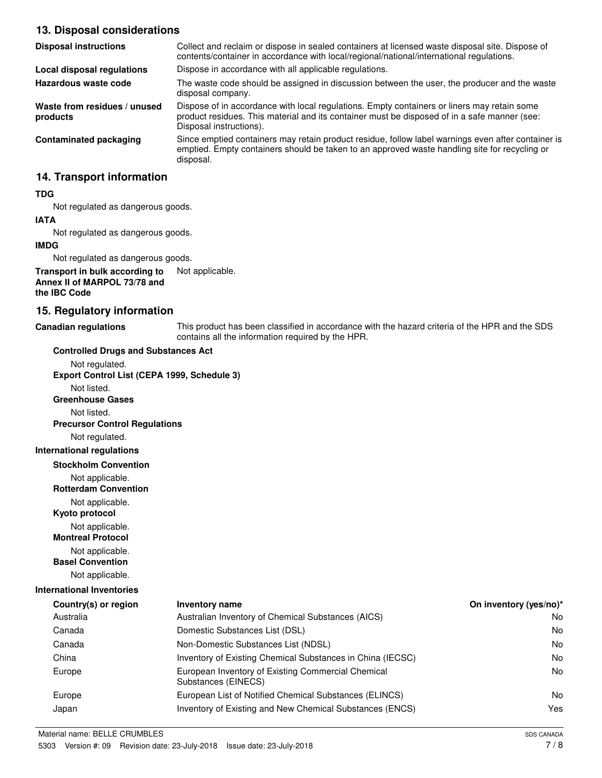#### **13. Disposal considerations**

| <b>Disposal instructions</b>             | Collect and reclaim or dispose in sealed containers at licensed waste disposal site. Dispose of<br>contents/container in accordance with local/regional/national/international regulations.                            |
|------------------------------------------|------------------------------------------------------------------------------------------------------------------------------------------------------------------------------------------------------------------------|
| Local disposal regulations               | Dispose in accordance with all applicable regulations.                                                                                                                                                                 |
| Hazardous waste code                     | The waste code should be assigned in discussion between the user, the producer and the waste<br>disposal company.                                                                                                      |
| Waste from residues / unused<br>products | Dispose of in accordance with local regulations. Empty containers or liners may retain some<br>product residues. This material and its container must be disposed of in a safe manner (see:<br>Disposal instructions). |
| <b>Contaminated packaging</b>            | Since emptied containers may retain product residue, follow label warnings even after container is<br>emptied. Empty containers should be taken to an approved waste handling site for recycling or<br>disposal.       |

#### **14. Transport information**

#### **TDG**

Not regulated as dangerous goods.

### **IATA**

Not regulated as dangerous goods.

#### **IMDG**

Not regulated as dangerous goods.

#### **Transport in bulk according to** Not applicable. **Annex II of MARPOL 73/78 and the IBC Code**

#### **15. Regulatory information**

**Canadian regulations**

This product has been classified in accordance with the hazard criteria of the HPR and the SDS contains all the information required by the HPR.

| <b>Controlled Drugs and Substances Act</b>     |                                                                           |                        |
|------------------------------------------------|---------------------------------------------------------------------------|------------------------|
| Not regulated.                                 |                                                                           |                        |
| Export Control List (CEPA 1999, Schedule 3)    |                                                                           |                        |
| Not listed.                                    |                                                                           |                        |
| <b>Greenhouse Gases</b>                        |                                                                           |                        |
| Not listed.                                    |                                                                           |                        |
| <b>Precursor Control Regulations</b>           |                                                                           |                        |
| Not regulated.                                 |                                                                           |                        |
| <b>International regulations</b>               |                                                                           |                        |
| <b>Stockholm Convention</b>                    |                                                                           |                        |
| Not applicable.<br><b>Rotterdam Convention</b> |                                                                           |                        |
| Not applicable.<br>Kyoto protocol              |                                                                           |                        |
| Not applicable.<br><b>Montreal Protocol</b>    |                                                                           |                        |
| Not applicable.<br><b>Basel Convention</b>     |                                                                           |                        |
| Not applicable.                                |                                                                           |                        |
| <b>International Inventories</b>               |                                                                           |                        |
| Country(s) or region                           | <b>Inventory name</b>                                                     | On inventory (yes/no)* |
| Australia                                      | Australian Inventory of Chemical Substances (AICS)                        | No.                    |
| Canada                                         | Domestic Substances List (DSL)                                            | No.                    |
| Canada                                         | Non-Domestic Substances List (NDSL)                                       | No.                    |
| China                                          | Inventory of Existing Chemical Substances in China (IECSC)                | No.                    |
| Europe                                         | European Inventory of Existing Commercial Chemical<br>Substances (EINECS) | No                     |
| Europe                                         | European List of Notified Chemical Substances (ELINCS)                    | No.                    |
| Japan                                          | Inventory of Existing and New Chemical Substances (ENCS)                  | Yes                    |